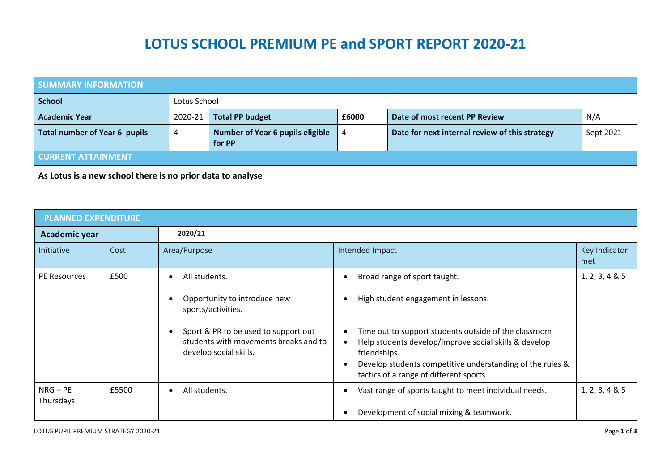## **LOTUS SCHOOL PREMIUM PE and SPORT REPORT 2020-21**

| <b>SUMMARY INFORMATION</b>                                 |              |                                                   |       |                                                |           |  |  |  |
|------------------------------------------------------------|--------------|---------------------------------------------------|-------|------------------------------------------------|-----------|--|--|--|
| <b>School</b>                                              | Lotus School |                                                   |       |                                                |           |  |  |  |
| <b>Academic Year</b>                                       | 2020-21      | <b>Total PP budget</b>                            | £6000 | Date of most recent PP Review                  | N/A       |  |  |  |
| <b>Total number of Year 6 pupils</b>                       | 4            | <b>Number of Year 6 pupils eligible</b><br>for PP | 4     | Date for next internal review of this strategy | Sept 2021 |  |  |  |
| <b>CURRENT ATTAINMENT</b>                                  |              |                                                   |       |                                                |           |  |  |  |
| As Lotus is a new school there is no prior data to analyse |              |                                                   |       |                                                |           |  |  |  |

| <b>PLANNED EXPENDITURE</b> |       |                                                                                                         |                                                                                                                                                                                                                                        |                      |  |  |  |
|----------------------------|-------|---------------------------------------------------------------------------------------------------------|----------------------------------------------------------------------------------------------------------------------------------------------------------------------------------------------------------------------------------------|----------------------|--|--|--|
| Academic year              |       | 2020/21                                                                                                 |                                                                                                                                                                                                                                        |                      |  |  |  |
| Initiative                 | Cost  | Area/Purpose                                                                                            | Intended Impact                                                                                                                                                                                                                        | Key Indicator<br>met |  |  |  |
| PE Resources               | £500  | All students.<br>Opportunity to introduce new<br>sports/activities.                                     | Broad range of sport taught.<br>High student engagement in lessons.                                                                                                                                                                    | 1, 2, 3, 4 & 5       |  |  |  |
|                            |       | Sport & PR to be used to support out<br>students with movements breaks and to<br>develop social skills. | Time out to support students outside of the classroom<br>Help students develop/improve social skills & develop<br>friendships.<br>Develop students competitive understanding of the rules &<br>tactics of a range of different sports. |                      |  |  |  |
| $NRG - PE$<br>Thursdays    | £5500 | All students.<br>$\bullet$                                                                              | Vast range of sports taught to meet individual needs.<br>Development of social mixing & teamwork.                                                                                                                                      | 1, 2, 3, 4 & 5       |  |  |  |